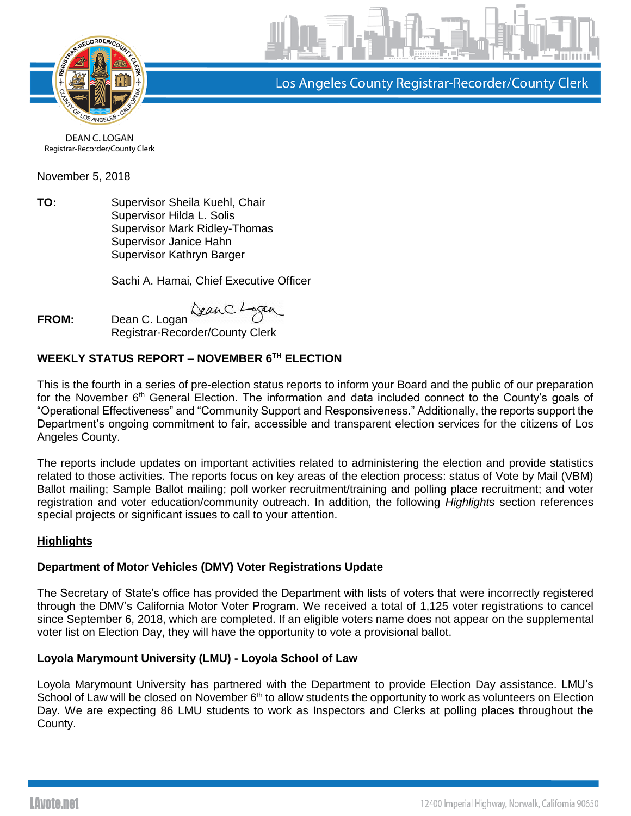

Los Angeles County Registrar-Recorder/County Clerk

DEAN C. LOGAN Registrar-Recorder/County Clerk

November 5, 2018

**TO:** Supervisor Sheila Kuehl, Chair Supervisor Hilda L. Solis Supervisor Mark Ridley-Thomas Supervisor Janice Hahn Supervisor Kathryn Barger

Sachi A. Hamai, Chief Executive Officer

**FROM:** Dean C. Logan

Registrar-Recorder/County Clerk

# **WEEKLY STATUS REPORT – NOVEMBER 6TH ELECTION**

This is the fourth in a series of pre-election status reports to inform your Board and the public of our preparation for the November 6<sup>th</sup> General Election. The information and data included connect to the County's goals of "Operational Effectiveness" and "Community Support and Responsiveness." Additionally, the reports support the Department's ongoing commitment to fair, accessible and transparent election services for the citizens of Los Angeles County.

The reports include updates on important activities related to administering the election and provide statistics related to those activities. The reports focus on key areas of the election process: status of Vote by Mail (VBM) Ballot mailing; Sample Ballot mailing; poll worker recruitment/training and polling place recruitment; and voter registration and voter education/community outreach. In addition, the following *Highlights* section references special projects or significant issues to call to your attention.

# **Highlights**

# **Department of Motor Vehicles (DMV) Voter Registrations Update**

The Secretary of State's office has provided the Department with lists of voters that were incorrectly registered through the DMV's California Motor Voter Program. We received a total of 1,125 voter registrations to cancel since September 6, 2018, which are completed. If an eligible voters name does not appear on the supplemental voter list on Election Day, they will have the opportunity to vote a provisional ballot.

# **Loyola Marymount University (LMU) - Loyola School of Law**

Loyola Marymount University has partnered with the Department to provide Election Day assistance. LMU's School of Law will be closed on November 6<sup>th</sup> to allow students the opportunity to work as volunteers on Election Day. We are expecting 86 LMU students to work as Inspectors and Clerks at polling places throughout the County.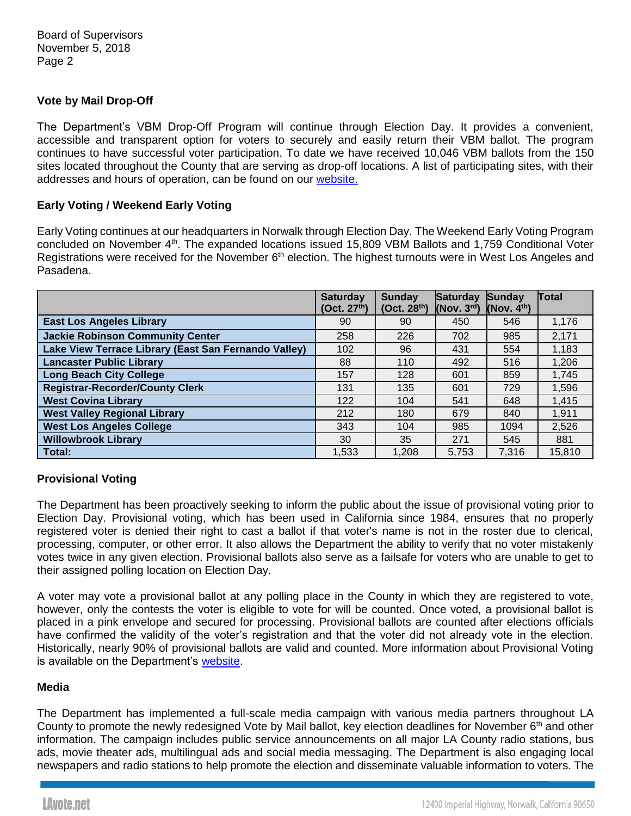# **Vote by Mail Drop-Off**

The Department's VBM Drop-Off Program will continue through Election Day. It provides a convenient, accessible and transparent option for voters to securely and easily return their VBM ballot. The program continues to have successful voter participation. To date we have received 10,046 VBM ballots from the 150 sites located throughout the County that are serving as drop-off locations. A list of participating sites, with their addresses and hours of operation, can be found on our [website.](http://lavote.net/home/voting-elections/voting-options/vote-by-mail/vbm-ballot-drop-off)

#### **Early Voting / Weekend Early Voting**

Early Voting continues at our headquarters in Norwalk through Election Day. The Weekend Early Voting Program concluded on November 4<sup>th</sup>. The expanded locations issued 15,809 VBM Ballots and 1,759 Conditional Voter Registrations were received for the November  $6<sup>th</sup>$  election. The highest turnouts were in West Los Angeles and Pasadena.

|                                                      | <b>Saturday</b><br>(Oct. 27 <sup>th</sup> ) | Sunday<br>(Oct. 28 <sup>th</sup> ) | <b>Saturday</b><br>(Nov. 3 <sup>rd</sup> ) | <b>Sunday</b><br>(Nov. 4 <sup>th</sup> ) | Total  |
|------------------------------------------------------|---------------------------------------------|------------------------------------|--------------------------------------------|------------------------------------------|--------|
| <b>East Los Angeles Library</b>                      | 90                                          | 90                                 | 450                                        | 546                                      | 1,176  |
| <b>Jackie Robinson Community Center</b>              | 258                                         | 226                                | 702                                        | 985                                      | 2,171  |
| Lake View Terrace Library (East San Fernando Valley) | 102                                         | 96                                 | 431                                        | 554                                      | 1,183  |
| <b>Lancaster Public Library</b>                      | 88                                          | 110                                | 492                                        | 516                                      | 1,206  |
| <b>Long Beach City College</b>                       | 157                                         | 128                                | 601                                        | 859                                      | 1,745  |
| <b>Registrar-Recorder/County Clerk</b>               | 131                                         | 135                                | 601                                        | 729                                      | 1,596  |
| <b>West Covina Library</b>                           | 122                                         | 104                                | 541                                        | 648                                      | 1,415  |
| <b>West Valley Regional Library</b>                  | 212                                         | 180                                | 679                                        | 840                                      | 1,911  |
| <b>West Los Angeles College</b>                      | 343                                         | 104                                | 985                                        | 1094                                     | 2,526  |
| <b>Willowbrook Library</b>                           | 30                                          | 35                                 | 271                                        | 545                                      | 881    |
| Total:                                               | 1,533                                       | 1,208                              | 5.753                                      | 7,316                                    | 15,810 |

#### **Provisional Voting**

The Department has been proactively seeking to inform the public about the issue of provisional voting prior to Election Day. Provisional voting, which has been used in California since 1984, ensures that no properly registered voter is denied their right to cast a ballot if that voter's name is not in the roster due to clerical, processing, computer, or other error. It also allows the Department the ability to verify that no voter mistakenly votes twice in any given election. Provisional ballots also serve as a failsafe for voters who are unable to get to their assigned polling location on Election Day.

A voter may vote a provisional ballot at any polling place in the County in which they are registered to vote, however, only the contests the voter is eligible to vote for will be counted. Once voted, a provisional ballot is placed in a pink envelope and secured for processing. Provisional ballots are counted after elections officials have confirmed the validity of the voter's registration and that the voter did not already vote in the election. Historically, nearly 90% of provisional ballots are valid and counted. More information about Provisional Voting is available on the Department's [website.](http://lavote.net/home/voting-elections/voting-options/at-the-polls/provisional-voting)

#### **Media**

The Department has implemented a full-scale media campaign with various media partners throughout LA County to promote the newly redesigned Vote by Mail ballot, key election deadlines for November 6<sup>th</sup> and other information. The campaign includes public service announcements on all major LA County radio stations, bus ads, movie theater ads, multilingual ads and social media messaging. The Department is also engaging local newspapers and radio stations to help promote the election and disseminate valuable information to voters. The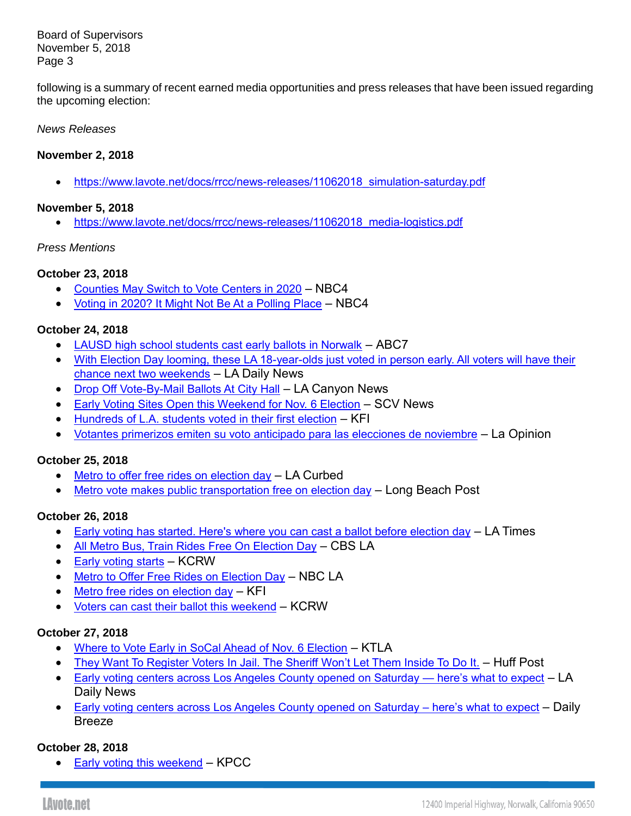Board of Supervisors November 5, 2018 Page 3

following is a summary of recent earned media opportunities and press releases that have been issued regarding the upcoming election:

#### *News Releases*

### **November 2, 2018**

• [https://www.lavote.net/docs/rrcc/news-releases/11062018\\_simulation-saturday.pdf](https://www.lavote.net/docs/rrcc/news-releases/11062018_simulation-saturday.pdf)

#### **November 5, 2018**

• [https://www.lavote.net/docs/rrcc/news-releases/11062018\\_media-logistics.pdf](https://www.lavote.net/docs/rrcc/news-releases/11062018_media-logistics.pdf)

#### *Press Mentions*

# **October 23, 2018**

- [Counties May Switch to Vote Centers in 2020](https://www.nbclosangeles.com/news/local/Counties-May-Switch-to-Vote-Centers-in-2020-498333161.html) NBC4
- [Voting in 2020? It Might Not Be At a Polling Place](https://www.nbclosangeles.com/multimedia/Goodbye-Polling-Places-Vote-Centers-Replace-2020-Elections-498331191.html) NBC4

# **October 24, 2018**

- [LAUSD high school students cast early ballots in Norwalk](https://abc7.com/politics/lausd-high-school-students-cast-early-ballots-in-norwalk/4550313/) ABC7
- [With Election Day looming, these LA 18-year-olds just voted in person early. All voters will have their](https://www.dailynews.com/2018/10/24/with-election-day-looming-these-la-18-year-olds-just-voted-in-person-early-all-voters-will-have-their-chance-next-two-weekends/)  [chance next two weekends](https://www.dailynews.com/2018/10/24/with-election-day-looming-these-la-18-year-olds-just-voted-in-person-early-all-voters-will-have-their-chance-next-two-weekends/) – LA Daily News
- [Drop Off Vote-By-Mail Ballots At City Hall](http://www.canyon-news.com/drop-off-vote-by-mail-ballots-at-city-hall/84687) LA Canyon News
- [Early Voting Sites Open this Weekend for Nov. 6 Election](https://scvnews.com/2018/10/24/early-voting-sites-open-this-weekend-for-nov-6-election/?utm_content=&utm_medium=email&utm_name=&utm_source=govdelivery&utm_term=) SCV News
- [Hundreds of L.A. students voted in their first election](http://mms.tveyes.com/MediaView/?c3RhdGlvbj0xNTE1JlN0YXJ0RGF0ZVRpbWU9MTAlMmYyNCUyZjIwMTgrMTglM2EzMiUzYTUzJkVuZERhdGVUaW1lPTEwJTJmMjQlMmYyMDE4KzE4JTNhMzMlM2EzMCYmJmR1cmF0aW9uPTMwMTYwMCZwYXJ0bmVyaWQ9NzMxMyYmaGlnaGxpZ2h0cmVnZXg9JTVjYmhvbWVsZXNzJTVjYiU3YyU1Y2JMLkEuJTVjYiU3YyU1Y2JDb3VudHklNWNiJm1vZGVkaXRvcmVuYWJsZT10cnVlJm1vZGVkaXRvcmRlc3RpbmF0aW9ucz00JiZleHBpcmF0aW9uPTExJTJmMjMlMmYyMDE4KzE4JTNhMzIlM2E1My4wMDAmaW5zdGFudFBsYXk9VHJ1ZSZzaWduYXR1cmU9NGU1ODNhYmYxODk2ZjAwZTc5YmU0MTQ2MDZhMjRiMmM=) KFI
- [Votantes primerizos emiten su voto anticipado para las elecciones de noviembre](http://links.govdelivery.com/track?type=click&enid=ZWFzPTEmbXNpZD0mYXVpZD0mbWFpbGluZ2lkPTIwMTgxMDI1Ljk2NzU4NTkxJm1lc3NhZ2VpZD1NREItUFJELUJVTC0yMDE4MTAyNS45Njc1ODU5MSZkYXRhYmFzZWlkPTEwMDEmc2VyaWFsPTE2OTk3MTI3JmVtYWlsaWQ9andoYWxlbkBycmNjLmxhY291bnR5LmdvdiZ1c2VyaWQ9andoYWxlbkBycmNjLmxhY291bnR5LmdvdiZ0YXJnZXRpZD0mZmw9Jm12aWQ9JmV4dHJhPSYmJg==&&&113&&&https://app.meltwater.com/mwTransition/?cId=56d784e57e32436f1e22c09e&contextId=5bd1e448f9a4f28cb07c2073&dId=4Ev1abG5-1IEST2ADLku81Pdjwc&id=&isHosted=false&name=&op=open&publishTime=1540479648621&s=mail-newsletter&sentiment=N&transitionToken=eyJ0eXAiOiJKV1QiLCJhbGciOiJIUzUxMiJ9.eyJob3N0bmFtZSI6Imxhb3Bpbmlvbi5jb20ifQ.2uvvOU9woTOKQ6ckA8btbef-RuIx40FNmoC_PMmCmTtyFFgQGK-Htu9qRgCOyiA_swFRyLL_TJ0L4l1t9esNAQ&type=&uId=5875422dd095f93a024da574&url=https%3A%2F%2Flaopinion.com%2F2018%2F10%2F25%2Fvotantes-primerizos-emiten-su-voto-anticipado-para-las-elecciones-de-noviembre%2F%3Futm_content%3D%26utm_medium%3Demail%26utm_name%3D%26utm_source%3Dgovdelivery%26utm_term%3D&utm_content=&utm_medium=email&utm_name=&utm_source=govdelivery&utm_term=) La Opinion

# **October 25, 2018**

- [Metro to offer free rides on election day](https://la.curbed.com/2018/10/25/18023336/los-angeles-election-day-free-rides-metro-transportation) LA Curbed
- [Metro vote makes public transportation free on election day](http://links.govdelivery.com/track?type=click&enid=ZWFzPTEmbXNpZD0mYXVpZD0mbWFpbGluZ2lkPTIwMTgxMDI2Ljk2ODEzMjgxJm1lc3NhZ2VpZD1NREItUFJELUJVTC0yMDE4MTAyNi45NjgxMzI4MSZkYXRhYmFzZWlkPTEwMDEmc2VyaWFsPTE2OTk3NjIxJmVtYWlsaWQ9andoYWxlbkBycmNjLmxhY291bnR5LmdvdiZ1c2VyaWQ9andoYWxlbkBycmNjLmxhY291bnR5LmdvdiZ0YXJnZXRpZD0mZmw9Jm12aWQ9JmV4dHJhPSYmJg==&&&126&&&https://app.meltwater.com/mwTransition/?cId=56d784e57e32436f1e22c09e&contextId=5bd33344f9a4f28cb07c4bd3&dId=ag7Wc0lw6uTkgr7m9yq8GhInRhU&id=&isHosted=false&name=&op=open&publishTime=1540500809140&s=mail-newsletter&sentiment=N&transitionToken=eyJ0eXAiOiJKV1QiLCJhbGciOiJIUzUxMiJ9.eyJob3N0bmFtZSI6ImxicG9zdC5jb20ifQ.xGLRloXg_3f3vnsTxqYY13QDFq7RoPWZRuhw1JOpiaTMHU8hEMyz8DQbO-2g8iI9eKbK8d879hGjhheS9pFIdA&type=&uId=5875422dd095f93a024da574&url=https%3A%2F%2Flbpost.com%2Fnews%2Fmetro-vote-makes-public-transportation-free-on-election-day%2F%3Futm_content%3D%26utm_medium%3Demail%26utm_name%3D%26utm_source%3Dgovdelivery%26utm_term%3D&utm_content=&utm_medium=email&utm_name=&utm_source=govdelivery&utm_term=) Long Beach Post

# **October 26, 2018**

- [Early voting has started. Here's where you can cast a ballot before election day](http://www.latimes.com/politics/la-pol-early-voting-midterms-2018-story.html) LA Times
- [All Metro Bus, Train Rides Free On Election Day](https://losangeles.cbslocal.com/2018/10/26/free-metro-bus-train-rides-election-day/) CBS LA
- [Early voting starts](http://links.govdelivery.com/track?type=click&enid=ZWFzPTEmbXNpZD0mYXVpZD0mbWFpbGluZ2lkPTIwMTgxMDI5Ljk2ODgxMzYxJm1lc3NhZ2VpZD1NREItUFJELUJVTC0yMDE4MTAyOS45Njg4MTM2MSZkYXRhYmFzZWlkPTEwMDEmc2VyaWFsPTE2OTk4MjQzJmVtYWlsaWQ9andoYWxlbkBycmNjLmxhY291bnR5LmdvdiZ1c2VyaWQ9andoYWxlbkBycmNjLmxhY291bnR5LmdvdiZ0YXJnZXRpZD0mZmw9Jm12aWQ9JmV4dHJhPSYmJg==&&&111&&&https://app.meltwater.com/mwTransition/?cId=56d784e57e32436f1e22c09e&contextId=5bd723ea5839ef0ce0a0e3e3&dId=cc03c081-cec9-4b97-b015-02363362da59&id=&isHosted=false&name=&op=open&publishTime=1540568003000&s=mail-newsletter&sentiment=N&transitionToken=eyJ0eXAiOiJKV1QiLCJhbGciOiJIUzUxMiJ9.eyJob3N0bmFtZSI6Im15LnR2ZXkuZXMifQ.BTKVf3-x0i0wqJw_SSxKwgioL_n65i8b8Bv7FFlL_q6WNhxw5exfHqcCk8bz6SlVoKuWEeYk7h_u-8nK1EoVSQ&type=&uId=5875422dd095f93a024da574&url=http%3A%2F%2Fmy.tvey.es%2FNi27C%3Futm_content%3D%26utm_medium%3Demail%26utm_name%3D%26utm_source%3Dgovdelivery%26utm_term%3D&utm_content=&utm_medium=email&utm_name=&utm_source=govdelivery&utm_term=) KCRW
- **[Metro to Offer Free Rides on Election Day](http://links.govdelivery.com/track?type=click&enid=ZWFzPTEmbXNpZD0mYXVpZD0mbWFpbGluZ2lkPTIwMTgxMDI2Ljk2ODEzMjgxJm1lc3NhZ2VpZD1NREItUFJELUJVTC0yMDE4MTAyNi45NjgxMzI4MSZkYXRhYmFzZWlkPTEwMDEmc2VyaWFsPTE2OTk3NjIxJmVtYWlsaWQ9andoYWxlbkBycmNjLmxhY291bnR5LmdvdiZ1c2VyaWQ9andoYWxlbkBycmNjLmxhY291bnR5LmdvdiZ0YXJnZXRpZD0mZmw9Jm12aWQ9JmV4dHJhPSYmJg==&&&104&&&https://app.meltwater.com/mwTransition/?cId=56d784e57e32436f1e22c09e&contextId=5bd33344f9a4f28cb07c4bd3&dId=imR6_QpWjxUNvUwXHJ6AEVCyQ2A&id=&isHosted=false&name=&op=open&publishTime=1540544072264&s=mail-newsletter&sentiment=N&transitionToken=eyJ0eXAiOiJKV1QiLCJhbGciOiJIUzUxMiJ9.eyJob3N0bmFtZSI6Ind3dy5uYmNsb3NhbmdlbGVzLmNvbSJ9.qrnZG5u3OjFtwiii9MNndRbz6Nr0-Jz1pouTLLenhnFnj9l6UEiaEbZzwqYhxu6DKt9QpiTdg0pk_LMyybqBzg&type=&uId=5875422dd095f93a024da574&url=https%3A%2F%2Fwww.nbclosangeles.com%2Fnews%2Flocal%2FMetro-to-Offer-Free-Rides-on-Election-Day-498621061.html%3Futm_content%3D%26utm_medium%3Demail%26utm_name%3D%26utm_source%3Dgovdelivery%26utm_term%3D&utm_content=&utm_medium=email&utm_name=&utm_source=govdelivery&utm_term=) NBC LA**
- [Metro free rides on election day](http://links.govdelivery.com/track?type=click&enid=ZWFzPTEmbXNpZD0mYXVpZD0mbWFpbGluZ2lkPTIwMTgxMDI2Ljk2ODEzMjgxJm1lc3NhZ2VpZD1NREItUFJELUJVTC0yMDE4MTAyNi45NjgxMzI4MSZkYXRhYmFzZWlkPTEwMDEmc2VyaWFsPTE2OTk3NjIxJmVtYWlsaWQ9andoYWxlbkBycmNjLmxhY291bnR5LmdvdiZ1c2VyaWQ9andoYWxlbkBycmNjLmxhY291bnR5LmdvdiZ0YXJnZXRpZD0mZmw9Jm12aWQ9JmV4dHJhPSYmJg==&&&105&&&https://app.meltwater.com/mwTransition/?cId=56d784e57e32436f1e22c09e&contextId=5bd33344f9a4f28cb07c4bd3&dId=53889227-9bf6-406c-8b30-6fa9ac201418&id=&isHosted=false&name=&op=open&publishTime=1540570329000&s=mail-newsletter&sentiment=N&transitionToken=eyJ0eXAiOiJKV1QiLCJhbGciOiJIUzUxMiJ9.eyJob3N0bmFtZSI6Im15LnR2ZXkuZXMifQ.BTKVf3-x0i0wqJw_SSxKwgioL_n65i8b8Bv7FFlL_q6WNhxw5exfHqcCk8bz6SlVoKuWEeYk7h_u-8nK1EoVSQ&type=&uId=5875422dd095f93a024da574&url=http%3A%2F%2Fmy.tvey.es%2Fj3NFb%3Futm_content%3D%26utm_medium%3Demail%26utm_name%3D%26utm_source%3Dgovdelivery%26utm_term%3D&utm_content=&utm_medium=email&utm_name=&utm_source=govdelivery&utm_term=) KFI
- [Voters can cast their ballot this weekend](http://links.govdelivery.com/track?type=click&enid=ZWFzPTEmbXNpZD0mYXVpZD0mbWFpbGluZ2lkPTIwMTgxMDI2Ljk2ODEzMjgxJm1lc3NhZ2VpZD1NREItUFJELUJVTC0yMDE4MTAyNi45NjgxMzI4MSZkYXRhYmFzZWlkPTEwMDEmc2VyaWFsPTE2OTk3NjIxJmVtYWlsaWQ9andoYWxlbkBycmNjLmxhY291bnR5LmdvdiZ1c2VyaWQ9andoYWxlbkBycmNjLmxhY291bnR5LmdvdiZ0YXJnZXRpZD0mZmw9Jm12aWQ9JmV4dHJhPSYmJg==&&&109&&&https://app.meltwater.com/mwTransition/?cId=56d784e57e32436f1e22c09e&contextId=5bd33344f9a4f28cb07c4bd3&dId=55db7932-1d5e-4b74-a92a-c6f4ec126b44&id=&isHosted=false&name=&op=open&publishTime=1540570249000&s=mail-newsletter&sentiment=N&transitionToken=eyJ0eXAiOiJKV1QiLCJhbGciOiJIUzUxMiJ9.eyJob3N0bmFtZSI6Im15LnR2ZXkuZXMifQ.BTKVf3-x0i0wqJw_SSxKwgioL_n65i8b8Bv7FFlL_q6WNhxw5exfHqcCk8bz6SlVoKuWEeYk7h_u-8nK1EoVSQ&type=&uId=5875422dd095f93a024da574&url=http%3A%2F%2Fmy.tvey.es%2FKt6m9%3Futm_content%3D%26utm_medium%3Demail%26utm_name%3D%26utm_source%3Dgovdelivery%26utm_term%3D&utm_content=&utm_medium=email&utm_name=&utm_source=govdelivery&utm_term=) KCRW

# **October 27, 2018**

- [Where to Vote Early in SoCal Ahead of Nov. 6 Election](https://ktla.com/2018/10/27/where-to-vote-early-in-socal-ahead-of-nov-6-election/) KTLA
- [They Want To Register Voters In Jail. The Sheriff Won't Let Them Inside To Do It.](https://www.huffingtonpost.com/entry/register-to-vote-southern-california-orange-county_us_5bd22882e4b0a8f17ef5c9e2) Huff Post
- [Early voting centers across Los Angeles County opened on Saturday —](https://www.dailynews.com/2018/10/27/early-voting-centers-across-los-angeles-county-opened-on-saturday-heres-what-to-expect/) here's what to expect LA Daily News
- [Early voting centers across Los Angeles County opened on Saturday –](http://links.govdelivery.com/track?type=click&enid=ZWFzPTEmbXNpZD0mYXVpZD0mbWFpbGluZ2lkPTIwMTgxMDI5Ljk2ODgxMzYxJm1lc3NhZ2VpZD1NREItUFJELUJVTC0yMDE4MTAyOS45Njg4MTM2MSZkYXRhYmFzZWlkPTEwMDEmc2VyaWFsPTE2OTk4MjQzJmVtYWlsaWQ9andoYWxlbkBycmNjLmxhY291bnR5LmdvdiZ1c2VyaWQ9andoYWxlbkBycmNjLmxhY291bnR5LmdvdiZ0YXJnZXRpZD0mZmw9Jm12aWQ9JmV4dHJhPSYmJg==&&&108&&&https://app.meltwater.com/mwTransition/?cId=56d784e57e32436f1e22c09e&contextId=5bd723ea5839ef0ce0a0e3e3&dId=rEZyfZmiSpFfIhtOT28WFhaH8J0&id=&isHosted=false&name=&op=open&publishTime=1540677274573&s=mail-newsletter&sentiment=N&transitionToken=eyJ0eXAiOiJKV1QiLCJhbGciOiJIUzUxMiJ9.eyJob3N0bmFtZSI6Ind3dy5kYWlseWJyZWV6ZS5jb20ifQ.8S83LrnEXCD2s885XhxKH0kpcsHJe-LjwjBsjUQOni5Bst8FiP4zHfEwvR2kFAEgyBB95XWpvfx3YrxPPhBWPQ&type=&uId=5875422dd095f93a024da574&url=https%3A%2F%2Fwww.dailybreeze.com%2F2018%2F10%2F27%2Fearly-voting-centers-across-los-angeles-county-opened-on-saturday-heres-what-to-expect%2F%3Futm_content%3D%26utm_medium%3Demail%26utm_name%3D%26utm_source%3Dgovdelivery%26utm_term%3D&utm_content=&utm_medium=email&utm_name=&utm_source=govdelivery&utm_term=) here's what to expect Daily Breeze

# **October 28, 2018**

• [Early voting this weekend](http://links.govdelivery.com/track?type=click&enid=ZWFzPTEmbXNpZD0mYXVpZD0mbWFpbGluZ2lkPTIwMTgxMDI5Ljk2ODgxMzYxJm1lc3NhZ2VpZD1NREItUFJELUJVTC0yMDE4MTAyOS45Njg4MTM2MSZkYXRhYmFzZWlkPTEwMDEmc2VyaWFsPTE2OTk4MjQzJmVtYWlsaWQ9andoYWxlbkBycmNjLmxhY291bnR5LmdvdiZ1c2VyaWQ9andoYWxlbkBycmNjLmxhY291bnR5LmdvdiZ0YXJnZXRpZD0mZmw9Jm12aWQ9JmV4dHJhPSYmJg==&&&110&&&https://app.meltwater.com/mwTransition/?cId=56d784e57e32436f1e22c09e&contextId=5bd723ea5839ef0ce0a0e3e3&dId=282fbf76-7e74-48e4-8ecd-4ae294f4c106&id=&isHosted=false&name=&op=open&publishTime=1540740505000&s=mail-newsletter&sentiment=N&transitionToken=eyJ0eXAiOiJKV1QiLCJhbGciOiJIUzUxMiJ9.eyJob3N0bmFtZSI6Im15LnR2ZXkuZXMifQ.BTKVf3-x0i0wqJw_SSxKwgioL_n65i8b8Bv7FFlL_q6WNhxw5exfHqcCk8bz6SlVoKuWEeYk7h_u-8nK1EoVSQ&type=&uId=5875422dd095f93a024da574&url=http%3A%2F%2Fmy.tvey.es%2FQr3d2%3Futm_content%3D%26utm_medium%3Demail%26utm_name%3D%26utm_source%3Dgovdelivery%26utm_term%3D&utm_content=&utm_medium=email&utm_name=&utm_source=govdelivery&utm_term=) – KPCC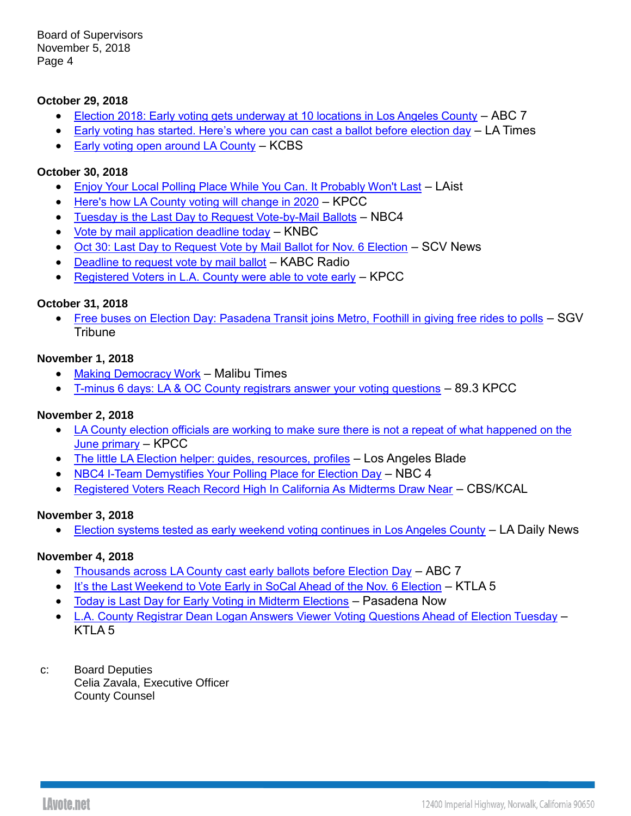Board of Supervisors November 5, 2018 Page 4

### **October 29, 2018**

- [Election 2018: Early voting gets underway at 10 locations in Los Angeles County](https://abc7.com/politics/election-2018-early-voting-underway-in-los-angeles-county/4576382/) ABC 7
- [Early voting has started. Here's where you can cast a ballot before election day](http://links.govdelivery.com/track?type=click&enid=ZWFzPTEmbXNpZD0mYXVpZD0mbWFpbGluZ2lkPTIwMTgxMDI5Ljk2ODgxMzYxJm1lc3NhZ2VpZD1NREItUFJELUJVTC0yMDE4MTAyOS45Njg4MTM2MSZkYXRhYmFzZWlkPTEwMDEmc2VyaWFsPTE2OTk4MjQzJmVtYWlsaWQ9andoYWxlbkBycmNjLmxhY291bnR5LmdvdiZ1c2VyaWQ9andoYWxlbkBycmNjLmxhY291bnR5LmdvdiZ0YXJnZXRpZD0mZmw9Jm12aWQ9JmV4dHJhPSYmJg==&&&103&&&https://app.meltwater.com/mwTransition/?cId=56d784e57e32436f1e22c09e&contextId=5bd723ea5839ef0ce0a0e3e3&dId=kqsNHsVPAgBLu9-IUPLixU-ostM&id=&isHosted=false&name=&op=open&publishTime=1540577100815&s=mail-newsletter&sentiment=N&transitionToken=eyJ0eXAiOiJKV1QiLCJhbGciOiJIUzUxMiJ9.eyJob3N0bmFtZSI6Ind3dy5sYXRpbWVzLmNvbSJ9.pyU9VQMKvh5vZJlebfeP6pSkeijFL-KKskx5nXRDHca408jlHn00LoA08Eo_6bPa_m9fGDadZ6Ugn5rodQOyDg&type=&uId=5875422dd095f93a024da574&url=http%3A%2F%2Fwww.latimes.com%2Fpolitics%2Fla-pol-early-voting-midterms-2018-story.html%3Futm_content%3D%26utm_medium%3Demail%26utm_name%3D%26utm_source%3Dgovdelivery%26utm_term%3D&utm_content=&utm_medium=email&utm_name=&utm_source=govdelivery&utm_term=) LA Times
- [Early voting open around LA County](http://links.govdelivery.com/track?type=click&enid=ZWFzPTEmbXNpZD0mYXVpZD0mbWFpbGluZ2lkPTIwMTgxMDI5Ljk2ODgxMzYxJm1lc3NhZ2VpZD1NREItUFJELUJVTC0yMDE4MTAyOS45Njg4MTM2MSZkYXRhYmFzZWlkPTEwMDEmc2VyaWFsPTE2OTk4MjQzJmVtYWlsaWQ9andoYWxlbkBycmNjLmxhY291bnR5LmdvdiZ1c2VyaWQ9andoYWxlbkBycmNjLmxhY291bnR5LmdvdiZ0YXJnZXRpZD0mZmw9Jm12aWQ9JmV4dHJhPSYmJg==&&&109&&&https://app.meltwater.com/mwTransition/?cId=56d784e57e32436f1e22c09e&contextId=5bd723ea5839ef0ce0a0e3e3&dId=d1caa9d0-3bea-467b-9da2-eed0d19e1344&id=&isHosted=false&name=&op=open&publishTime=1540827169000&s=mail-newsletter&sentiment=N&transitionToken=eyJ0eXAiOiJKV1QiLCJhbGciOiJIUzUxMiJ9.eyJob3N0bmFtZSI6Im15LnR2ZXkuZXMifQ.BTKVf3-x0i0wqJw_SSxKwgioL_n65i8b8Bv7FFlL_q6WNhxw5exfHqcCk8bz6SlVoKuWEeYk7h_u-8nK1EoVSQ&type=&uId=5875422dd095f93a024da574&url=http%3A%2F%2Fmy.tvey.es%2FJq63T%3Futm_content%3D%26utm_medium%3Demail%26utm_name%3D%26utm_source%3Dgovdelivery%26utm_term%3D&utm_content=&utm_medium=email&utm_name=&utm_source=govdelivery&utm_term=) KCBS

### **October 30, 2018**

- [Enjoy Your Local Polling Place While You Can. It Probably Won't Last](http://www.laist.com/2018/10/30/los_angeles_local_polling_place_voting_centers.php?fbclid=IwAR11uDiDX2fIPzYJmHsvD15wYdObucA1aeAzNNiwJ0ac3mpmZIu3c4JySr4) LAist
- Here's [how LA County voting will change in 2020](https://www.scpr.org/news/2018/10/30/86871/here-s-how-la-county-voting-will-change-in-2020/) KPCC
- [Tuesday is the Last Day to Request Vote-by-Mail Ballots](https://www.nbclosangeles.com/news/local/Last-Day-to-Request-Vote-by-Mail-Ballots-498989891.html) NBC4
- [Vote by mail application deadline today](http://links.govdelivery.com/track?type=click&enid=ZWFzPTEmbXNpZD0mYXVpZD0mbWFpbGluZ2lkPTIwMTgxMDMwLjk2OTI5MTUxJm1lc3NhZ2VpZD1NREItUFJELUJVTC0yMDE4MTAzMC45NjkyOTE1MSZkYXRhYmFzZWlkPTEwMDEmc2VyaWFsPTE2OTk4NjkyJmVtYWlsaWQ9andoYWxlbkBycmNjLmxhY291bnR5LmdvdiZ1c2VyaWQ9andoYWxlbkBycmNjLmxhY291bnR5LmdvdiZ0YXJnZXRpZD0mZmw9Jm12aWQ9JmV4dHJhPSYmJg==&&&105&&&https://app.meltwater.com/mwTransition/?cId=56d784e57e32436f1e22c09e&contextId=5bd866327085c40cf96b81b3&dId=6a26730b-af9b-4295-9a74-bf9f6ba18c86&id=&isHosted=false&name=&op=open&publishTime=1540909142000&s=mail-newsletter&sentiment=N&transitionToken=eyJ0eXAiOiJKV1QiLCJhbGciOiJIUzUxMiJ9.eyJob3N0bmFtZSI6Im15LnR2ZXkuZXMifQ.BTKVf3-x0i0wqJw_SSxKwgioL_n65i8b8Bv7FFlL_q6WNhxw5exfHqcCk8bz6SlVoKuWEeYk7h_u-8nK1EoVSQ&type=&uId=5875422dd095f93a024da574&url=http%3A%2F%2Fmy.tvey.es%2Fm6P5E%3Futm_content%3D%26utm_medium%3Demail%26utm_name%3D%26utm_source%3Dgovdelivery%26utm_term%3D&utm_content=&utm_medium=email&utm_name=&utm_source=govdelivery&utm_term=) KNBC
- [Oct 30: Last Day to Request Vote by Mail Ballot for Nov. 6 Election](http://links.govdelivery.com/track?type=click&enid=ZWFzPTEmbXNpZD0mYXVpZD0mbWFpbGluZ2lkPTIwMTgxMDMwLjk2OTI5MTUxJm1lc3NhZ2VpZD1NREItUFJELUJVTC0yMDE4MTAzMC45NjkyOTE1MSZkYXRhYmFzZWlkPTEwMDEmc2VyaWFsPTE2OTk4NjkyJmVtYWlsaWQ9andoYWxlbkBycmNjLmxhY291bnR5LmdvdiZ1c2VyaWQ9andoYWxlbkBycmNjLmxhY291bnR5LmdvdiZ0YXJnZXRpZD0mZmw9Jm12aWQ9JmV4dHJhPSYmJg==&&&106&&&https://app.meltwater.com/mwTransition/?cId=56d784e57e32436f1e22c09e&contextId=5bd866327085c40cf96b81b3&dId=bMED5CM5s3lr7RQFe5dmWHZRsP4&id=&isHosted=false&name=&op=open&publishTime=1540850109013&s=mail-newsletter&sentiment=N&transitionToken=eyJ0eXAiOiJKV1QiLCJhbGciOiJIUzUxMiJ9.eyJob3N0bmFtZSI6InNjdm5ld3MuY29tIn0.u8kfyNGpZQQnSfZ7La6-kBzXqdurv2qIOASqEQegu65buD_q2iFQCzy4NHv16U7d4GU898TqhK2KEHVpU2OArg&type=&uId=5875422dd095f93a024da574&url=https%3A%2F%2Fscvnews.com%2F2018%2F10%2F29%2Foct-30-last-day-to-request-vote-by-mail-ballot-for-nov-6-election%2F%3Futm_content%3D%26utm_medium%3Demail%26utm_name%3D%26utm_source%3Dgovdelivery%26utm_term%3D&utm_content=&utm_medium=email&utm_name=&utm_source=govdelivery&utm_term=) SCV News
- [Deadline to request vote by mail ballot](http://links.govdelivery.com/track?type=click&enid=ZWFzPTEmbXNpZD0mYXVpZD0mbWFpbGluZ2lkPTIwMTgxMDMwLjk2OTI5MTUxJm1lc3NhZ2VpZD1NREItUFJELUJVTC0yMDE4MTAzMC45NjkyOTE1MSZkYXRhYmFzZWlkPTEwMDEmc2VyaWFsPTE2OTk4NjkyJmVtYWlsaWQ9andoYWxlbkBycmNjLmxhY291bnR5LmdvdiZ1c2VyaWQ9andoYWxlbkBycmNjLmxhY291bnR5LmdvdiZ0YXJnZXRpZD0mZmw9Jm12aWQ9JmV4dHJhPSYmJg==&&&107&&&https://app.meltwater.com/mwTransition/?cId=56d784e57e32436f1e22c09e&contextId=5bd866327085c40cf96b81b3&dId=f749fd60-8b49-480d-9c41-f812f8861ce9&id=&isHosted=false&name=&op=open&publishTime=1540824186000&s=mail-newsletter&sentiment=N&transitionToken=eyJ0eXAiOiJKV1QiLCJhbGciOiJIUzUxMiJ9.eyJob3N0bmFtZSI6Im15LnR2ZXkuZXMifQ.BTKVf3-x0i0wqJw_SSxKwgioL_n65i8b8Bv7FFlL_q6WNhxw5exfHqcCk8bz6SlVoKuWEeYk7h_u-8nK1EoVSQ&type=&uId=5875422dd095f93a024da574&url=http%3A%2F%2Fmy.tvey.es%2Fg6YWz%3Futm_content%3D%26utm_medium%3Demail%26utm_name%3D%26utm_source%3Dgovdelivery%26utm_term%3D&utm_content=&utm_medium=email&utm_name=&utm_source=govdelivery&utm_term=) KABC Radio
- [Registered Voters in L.A. County were able to vote early](http://links.govdelivery.com/track?type=click&enid=ZWFzPTEmbXNpZD0mYXVpZD0mbWFpbGluZ2lkPTIwMTgxMDMwLjk2OTI5MTUxJm1lc3NhZ2VpZD1NREItUFJELUJVTC0yMDE4MTAzMC45NjkyOTE1MSZkYXRhYmFzZWlkPTEwMDEmc2VyaWFsPTE2OTk4NjkyJmVtYWlsaWQ9andoYWxlbkBycmNjLmxhY291bnR5LmdvdiZ1c2VyaWQ9andoYWxlbkBycmNjLmxhY291bnR5LmdvdiZ0YXJnZXRpZD0mZmw9Jm12aWQ9JmV4dHJhPSYmJg==&&&108&&&https://app.meltwater.com/mwTransition/?cId=56d784e57e32436f1e22c09e&contextId=5bd866327085c40cf96b81b3&dId=e0ad51a6-d86d-4c3f-b683-baea527151fb&id=&isHosted=false&name=&op=open&publishTime=1540824257000&s=mail-newsletter&sentiment=N&transitionToken=eyJ0eXAiOiJKV1QiLCJhbGciOiJIUzUxMiJ9.eyJob3N0bmFtZSI6Im15LnR2ZXkuZXMifQ.BTKVf3-x0i0wqJw_SSxKwgioL_n65i8b8Bv7FFlL_q6WNhxw5exfHqcCk8bz6SlVoKuWEeYk7h_u-8nK1EoVSQ&type=&uId=5875422dd095f93a024da574&url=http%3A%2F%2Fmy.tvey.es%2Fr9ZRm%3Futm_content%3D%26utm_medium%3Demail%26utm_name%3D%26utm_source%3Dgovdelivery%26utm_term%3D&utm_content=&utm_medium=email&utm_name=&utm_source=govdelivery&utm_term=) KPCC

#### **October 31, 2018**

• [Free buses on Election Day: Pasadena Transit joins Metro, Foothill in giving free rides to polls](http://links.govdelivery.com/track?type=click&enid=ZWFzPTEmbXNpZD0mYXVpZD0mbWFpbGluZ2lkPTIwMTgxMDMxLjk2OTg0MzIxJm1lc3NhZ2VpZD1NREItUFJELUJVTC0yMDE4MTAzMS45Njk4NDMyMSZkYXRhYmFzZWlkPTEwMDEmc2VyaWFsPTE2OTk5MjE2JmVtYWlsaWQ9andoYWxlbkBycmNjLmxhY291bnR5LmdvdiZ1c2VyaWQ9andoYWxlbkBycmNjLmxhY291bnR5LmdvdiZ0YXJnZXRpZD0mZmw9Jm12aWQ9JmV4dHJhPSYmJg==&&&135&&&https://app.meltwater.com/mwTransition/?cId=56d784e57e32436f1e22c09e&contextId=5bd9bbaa78fe9474f77e94c7&dId=JaE0_AESOe_OR7g9VQoOJ7-pq6I&id=&isHosted=false&name=&op=open&publishTime=1540938324287&s=mail-newsletter&sentiment=N&transitionToken=eyJ0eXAiOiJKV1QiLCJhbGciOiJIUzUxMiJ9.eyJob3N0bmFtZSI6Ind3dy5zZ3Z0cmlidW5lLmNvbSJ9.c0BqYqD9cWPG1Z1O3-RnxGuiiF1cGhNZL5-lScB-6OWFwTwohFl9m4V7FkhKuyaAyDUxIWDR-ow88koa3gfZ1A&type=&uId=5875422dd095f93a024da574&url=https%3A%2F%2Fwww.sgvtribune.com%2F2018%2F10%2F30%2Ffree-buses-on-election-day-pasadena-transit-joins-metro-foothill-in-giving-free-rides-to-polls%2F%3Futm_content%3D%26utm_medium%3Demail%26utm_name%3D%26utm_source%3Dgovdelivery%26utm_term%3D&utm_content=&utm_medium=email&utm_name=&utm_source=govdelivery&utm_term=) – SGV **Tribune** 

### **November 1, 2018**

- [Making Democracy Work](http://www.malibutimes.com/malibu_life/article_a3bda004-dd50-11e8-a3b4-27f7193f226b.html) Malibu Times
- T-minus 6 days: [LA & OC County registrars answer your voting questions](https://www.scpr.org/programs/airtalk/2018/10/31/63857/t-minus-6-days-la-oc-county-registrars-answer-your/) 89.3 KPCC

#### **November 2, 2018**

- LA County election officials are working to make sure there is not a repeat of what happened on the [June primary](http://links.govdelivery.com/track?type=click&enid=ZWFzPTEmbXNpZD0mYXVpZD0mbWFpbGluZ2lkPTIwMTgxMTAyLjk3MDkwMDYxJm1lc3NhZ2VpZD1NREItUFJELUJVTC0yMDE4MTEwMi45NzA5MDA2MSZkYXRhYmFzZWlkPTEwMDEmc2VyaWFsPTE3MDAwMjg4JmVtYWlsaWQ9andoYWxlbkBycmNjLmxhY291bnR5LmdvdiZ1c2VyaWQ9andoYWxlbkBycmNjLmxhY291bnR5LmdvdiZ0YXJnZXRpZD0mZmw9Jm12aWQ9JmV4dHJhPSYmJg==&&&117&&&https://app.meltwater.com/mwTransition/?cId=56d784e57e32436f1e22c09e&contextId=5bdc821278fe9474f77eeb26&dId=aedd8f48-aae2-49dd-b976-55fdaa0fa9e8&id=&isHosted=false&name=&op=open&publishTime=1541094138000&s=mail-newsletter&sentiment=N&transitionToken=eyJ0eXAiOiJKV1QiLCJhbGciOiJIUzUxMiJ9.eyJob3N0bmFtZSI6Im15LnR2ZXkuZXMifQ.BTKVf3-x0i0wqJw_SSxKwgioL_n65i8b8Bv7FFlL_q6WNhxw5exfHqcCk8bz6SlVoKuWEeYk7h_u-8nK1EoVSQ&type=&uId=5875422dd095f93a024da574&url=http%3A%2F%2Fmy.tvey.es%2Fg3J4B%3Futm_content%3D%26utm_medium%3Demail%26utm_name%3D%26utm_source%3Dgovdelivery%26utm_term%3D&utm_content=&utm_medium=email&utm_name=&utm_source=govdelivery&utm_term=) – KPCC
- [The little LA Election helper: guides, resources, profiles](https://www.losangelesblade.com/2018/11/02/the-little-la-election-helper-guides-resources-profiles/) Los Angeles Blade
- [NBC4 I-Team Demystifies Your Polling Place for Election Day](https://www.nbclosangeles.com/investigations/What-You-Need-to-Know-About-Your-Polling-Place-for-Election-Day-499461061.html) NBC 4
- [Registered Voters Reach Record High In California As Midterms Draw Near](https://losangeles.cbslocal.com/2018/11/02/registered-voters-record-california/) CBS/KCAL

#### **November 3, 2018**

• [Election systems tested as early weekend voting continues in Los Angeles County](https://www.dailynews.com/2018/11/03/election-systems-tested-as-early-weekend-voting-continues-in-los-angeles-county/) – LA Daily News

#### **November 4, 2018**

- [Thousands across LA County cast early ballots before Election Day](https://abc7.com/politics/thousands-across-la-county-cast-early-ballots-before-election-day/4613587/) ABC 7
- [It's the Last Weekend to Vote Early in SoCal Ahead of the Nov. 6 Election](https://ktla.com/2018/11/03/its-the-last-weekend-to-vote-early-in-socal-ahead-of-the-nov-6-election/) KTLA 5
- [Today is Last Day for Early Voting in Midterm Elections](http://www.pasadenanow.com/main/today-is-last-day-for-early-voting/%23.W98iZflKiUk) Pasadena Now
- [L.A. County Registrar Dean Logan Answers Viewer Voting Questions Ahead of Election Tuesday](https://ktla.com/2018/11/04/l-a-county-registrar-dean-logan-answers-viewer-voting-questions-ahead-of-election-tuesday/) KTLA 5
- c: Board Deputies Celia Zavala, Executive Officer County Counsel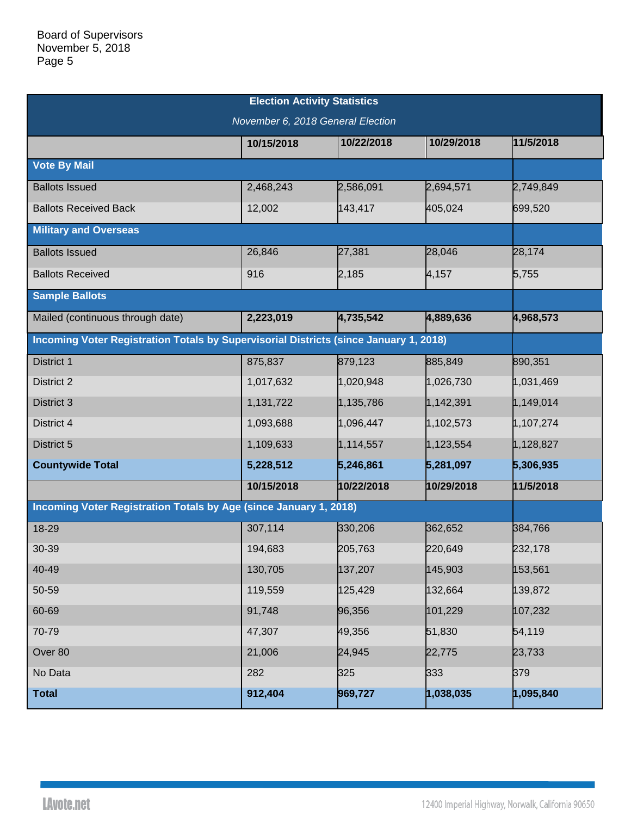| <b>Election Activity Statistics</b>                                                   |            |            |            |           |  |  |  |  |  |
|---------------------------------------------------------------------------------------|------------|------------|------------|-----------|--|--|--|--|--|
| November 6, 2018 General Election                                                     |            |            |            |           |  |  |  |  |  |
|                                                                                       | 10/15/2018 | 10/22/2018 | 10/29/2018 | 11/5/2018 |  |  |  |  |  |
| <b>Vote By Mail</b>                                                                   |            |            |            |           |  |  |  |  |  |
| <b>Ballots Issued</b>                                                                 | 2,468,243  | 2,586,091  | 2,694,571  | 2,749,849 |  |  |  |  |  |
| <b>Ballots Received Back</b>                                                          | 12,002     | 143,417    | 405,024    | 699,520   |  |  |  |  |  |
| <b>Military and Overseas</b>                                                          |            |            |            |           |  |  |  |  |  |
| <b>Ballots Issued</b>                                                                 | 26,846     | 27,381     | 28,046     | 28,174    |  |  |  |  |  |
| <b>Ballots Received</b>                                                               | 916        | 2,185      | 4,157      | 5,755     |  |  |  |  |  |
| <b>Sample Ballots</b>                                                                 |            |            |            |           |  |  |  |  |  |
| Mailed (continuous through date)                                                      | 2,223,019  | 4,735,542  | 4,889,636  | 4,968,573 |  |  |  |  |  |
| Incoming Voter Registration Totals by Supervisorial Districts (since January 1, 2018) |            |            |            |           |  |  |  |  |  |
| District 1                                                                            | 875,837    | 879,123    | 885,849    | 890,351   |  |  |  |  |  |
| District 2                                                                            | 1,017,632  | 1,020,948  | 1,026,730  | 1,031,469 |  |  |  |  |  |
| District 3                                                                            | 1,131,722  | 1,135,786  | 1,142,391  | 1,149,014 |  |  |  |  |  |
| District 4                                                                            | 1,093,688  | 1,096,447  | 1,102,573  | 1,107,274 |  |  |  |  |  |
| District 5                                                                            | 1,109,633  | 1,114,557  | 1,123,554  | 1,128,827 |  |  |  |  |  |
| <b>Countywide Total</b>                                                               | 5,228,512  | 5,246,861  | 5,281,097  | 5,306,935 |  |  |  |  |  |
|                                                                                       | 10/15/2018 | 10/22/2018 | 10/29/2018 | 11/5/2018 |  |  |  |  |  |
| Incoming Voter Registration Totals by Age (since January 1, 2018)                     |            |            |            |           |  |  |  |  |  |
| 18-29                                                                                 | 307,114    | 330,206    | 362,652    | 384,766   |  |  |  |  |  |
| 30-39                                                                                 | 194,683    | 205,763    | 220,649    | 232,178   |  |  |  |  |  |
| 40-49                                                                                 | 130,705    | 137,207    | 145,903    | 153,561   |  |  |  |  |  |
| 50-59                                                                                 | 119,559    | 125,429    | 132,664    | 139,872   |  |  |  |  |  |
| 60-69                                                                                 | 91,748     | 96,356     | 101,229    | 107,232   |  |  |  |  |  |
| 70-79                                                                                 | 47,307     | 49,356     | 51,830     | 54,119    |  |  |  |  |  |
| Over 80                                                                               | 21,006     | 24,945     | 22,775     | 23,733    |  |  |  |  |  |
| No Data                                                                               | 282        | 325        | 333        | 379       |  |  |  |  |  |
| <b>Total</b>                                                                          | 912,404    | 969,727    | 1,038,035  | 1,095,840 |  |  |  |  |  |